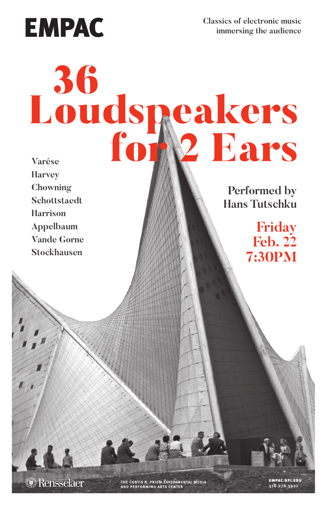**EMPAC** 

**Classics of electronic music immersing the audience**

## **Varése**

**Performed by Hans Tutschku**

> **Friday Feb. 22 7:30PM**

**Harvey Chowning Schottstaedt Harrison Appelbaum Vande Gorne Stockhausen**

**D** Rensselaer

THE CURTIS R. PRIEM EXPERIMENTAL MEDIA<br>AND PERFORMING ARTS CENTER

**EMPAC.RPI.EDU** 518.276.3921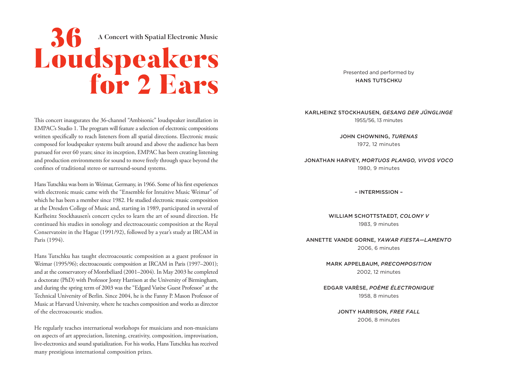## **A CONCERT WITH SPANE SPACE SPACE SPACE SPACE SPACE SPACE SPACE SPACE SPACE SPACE SPACE SPACE SPACE SPACE SPACE SPACE SPACE SPACE SPACE SPACE SPACE SPACE SPACE SPACE SPACE SPACE SPACE SPACE SPACE SPACE SPACE SPACE SPACE SP**

This concert inaugurates the 36-channel "Ambisonic" loudspeaker installation in EMPAC's Studio 1. The program will feature a selection of electronic compositions written specifically to reach listeners from all spatial directions. Electronic music composed for loudspeaker systems built around and above the audience has been pursued for over 60 years; since its inception, EMPAC has been creating listening and production environments for sound to move freely through space beyond the confines of traditional stereo or surround-sound systems.

Hans Tutschku was born in Weimar, Germany, in 1966. Some of his first experiences with electronic music came with the "Ensemble for Intuitive Music Weimar" of which he has been a member since 1982. He studied electronic music composition at the Dresden College of Music and, starting in 1989, participated in several of Karlheinz Stockhausen's concert cycles to learn the art of sound direction. He continued his studies in sonology and electroacoustic composition at the Royal Conservatoire in the Hague (1991/92), followed by a year's study at IRCAM in Paris (1994).

Hans Tutschku has taught electroacoustic composition as a guest professor in Weimar (1995/96); electroacoustic composition at IRCAM in Paris (1997–2001); and at the conservatory of Montbéliard (2001–2004). In May 2003 he completed a doctorate (PhD) with Professor Jonty Harrison at the University of Birmingham, and during the spring term of 2003 was the "Edgard Varèse Guest Professor" at the Technical University of Berlin. Since 2004, he is the Fanny P. Mason Professor of Music at Harvard University, where he teaches composition and works as director of the electroacoustic studios.

He regularly teaches international workshops for musicians and non-musicians on aspects of art appreciation, listening, creativity, composition, improvisation, live-electronics and sound spatialization. For his works, Hans Tutschku has received many prestigious international composition prizes.

Presented and performed by HANS TUTSCHKU

## KARLHEINZ STOCKHAUSEN, *GESANG DER JÜNGLINGE* 1955/56, 13 minutes

JOHN CHOWNING, *TURENAS* 1972, 12 minutes

JONATHAN HARVEY, *MORTUOS PLANGO, VIVOS VOCO* 1980, 9 minutes

– INTERMISSION –

WILLIAM SCHOTTSTAEDT, *COLONY V* 1983, 9 minutes

ANNETTE VANDE GORNE, *YAWAR FIESTA—LAMENTO* 2006, 6 minutes

> MARK APPELBAUM, *PRECOMPOSITION* 2002, 12 minutes

EDGAR VARÈSE, *POÈME ÉLECTRONIQUE* 1958, 8 minutes

> JONTY HARRISON, *FREE FALL* 2006, 8 minutes